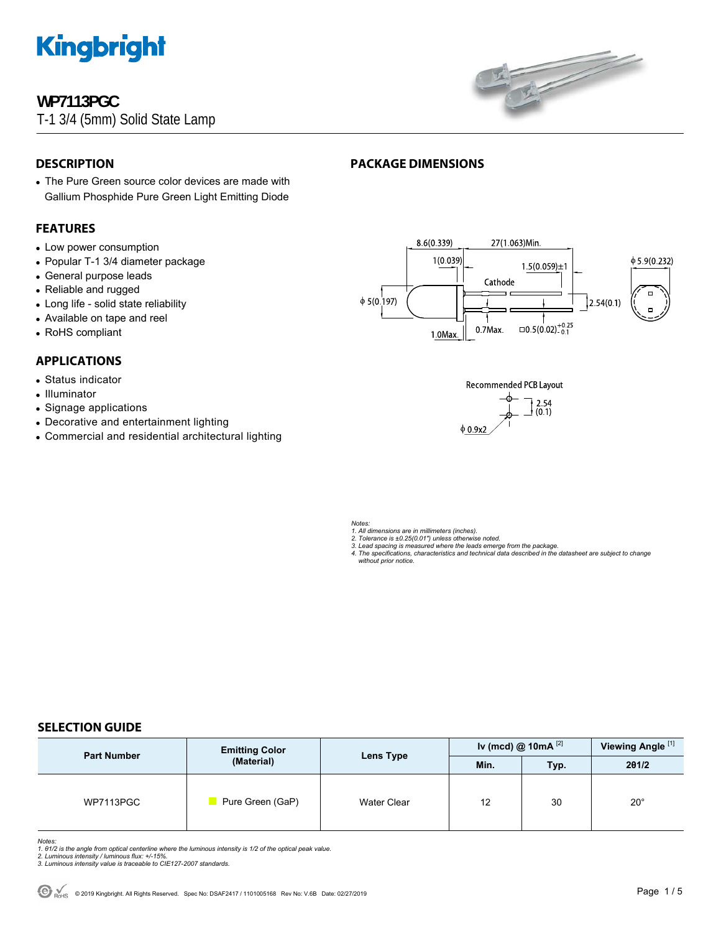

### **WP7113PGC**

T-1 3/4 (5mm) Solid State Lamp



#### **DESCRIPTION**

• The Pure Green source color devices are made with Gallium Phosphide Pure Green Light Emitting Diode

#### **FEATURES**

- Low power consumption
- Popular T-1 3/4 diameter package
- General purpose leads
- Reliable and rugged
- Long life solid state reliability
- Available on tape and reel
- RoHS compliant

#### **APPLICATIONS**

- Status indicator
- Illuminator
- Signage applications
- Decorative and entertainment lighting
- Commercial and residential architectural lighting





*Notes:* 

*1. All dimensions are in millimeters (inches). 2. Tolerance is ±0.25(0.01") unless otherwise noted.* 

**PACKAGE DIMENSIONS** 

*3. Lead spacing is measured where the leads emerge from the package. 4. The specifications, characteristics and technical data described in the datasheet are subject to change without prior notice.*

#### **SELECTION GUIDE**

| <b>Part Number</b> | <b>Emitting Color</b><br>(Material) | Lens Type          | Iv (mcd) @ 10mA $^{[2]}$ |      | Viewing Angle <sup>[1]</sup> |
|--------------------|-------------------------------------|--------------------|--------------------------|------|------------------------------|
|                    |                                     |                    | Min.                     | Typ. | 201/2                        |
| WP7113PGC          | Pure Green (GaP)                    | <b>Water Clear</b> | 12                       | 30   | $20^{\circ}$                 |

*Notes:* 

- 1. 01/2 is the angle from optical centerline where the luminous intensity is 1/2 of the optical peak value.<br>2. Luminous intensity / luminous flux: +/-15%.<br>3. Luminous intensity value is traceable to CIE127-2007 standards.
- 
-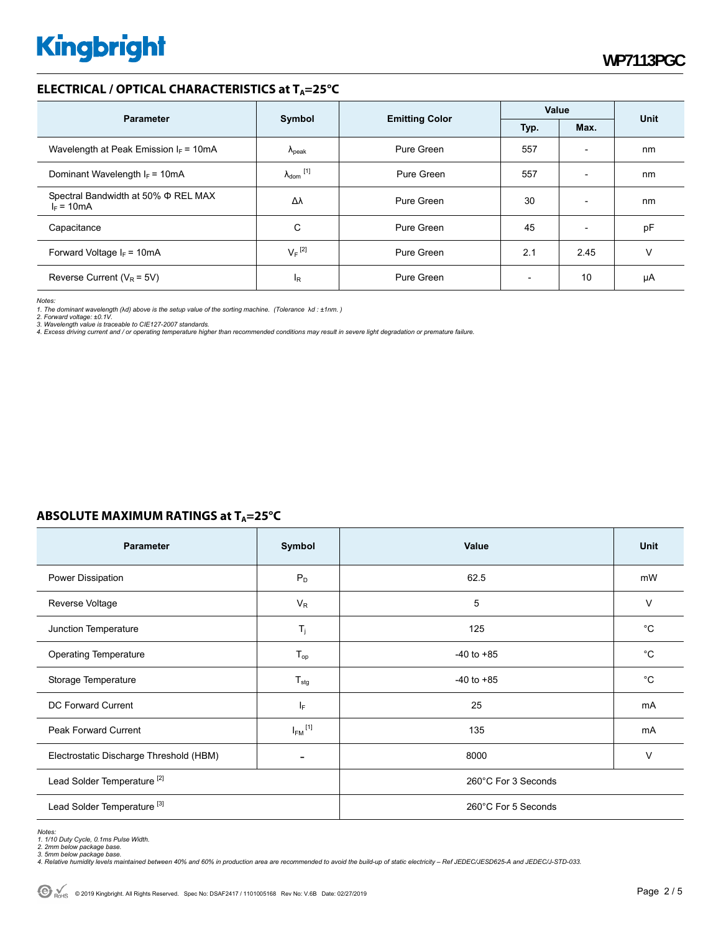#### **ELECTRICAL / OPTICAL CHARACTERISTICS at T<sub>A</sub>=25°C**

| <b>Parameter</b>                                    | Symbol                     |                                       | Value |                          | <b>Unit</b> |
|-----------------------------------------------------|----------------------------|---------------------------------------|-------|--------------------------|-------------|
|                                                     |                            | <b>Emitting Color</b><br>Max.<br>Typ. |       |                          |             |
| Wavelength at Peak Emission $I_F$ = 10mA            | $\Lambda_{\rm peak}$       | Pure Green                            | 557   | $\overline{\phantom{0}}$ | nm          |
| Dominant Wavelength $I_F = 10mA$                    | $\lambda_{\text{dom}}$ [1] | Pure Green                            | 557   | $\overline{\phantom{0}}$ | nm          |
| Spectral Bandwidth at 50% Φ REL MAX<br>$I_F = 10mA$ | Δλ                         | Pure Green                            | 30    | $\overline{a}$           | nm          |
| Capacitance                                         | C                          | Pure Green                            | 45    | $\overline{\phantom{0}}$ | pF          |
| Forward Voltage $I_F$ = 10mA                        | $V_F$ <sup>[2]</sup>       | Pure Green                            | 2.1   | 2.45                     | v           |
| Reverse Current ( $V_R$ = 5V)                       | I <sub>R</sub>             | Pure Green                            |       | 10                       | μA          |

*Notes:* 

1. The dominant wavelength (λd) above is the setup value of the sorting machine. (Tolerance λd : ±1nm. )<br>2. Forward voltage: ±0.1V.<br>3. Wavelength value is traceable to CIE127-2007 standards.

*4. Excess driving current and / or operating temperature higher than recommended conditions may result in severe light degradation or premature failure.* 

#### **ABSOLUTE MAXIMUM RATINGS at T<sub>A</sub>=25°C**

| <b>Parameter</b>                        | Symbol                  | Value               | <b>Unit</b> |  |
|-----------------------------------------|-------------------------|---------------------|-------------|--|
| Power Dissipation                       | $P_D$                   | 62.5                | mW          |  |
| Reverse Voltage                         | $V_R$                   | 5                   | V           |  |
| Junction Temperature                    | $T_j$                   | 125                 | $^{\circ}C$ |  |
| <b>Operating Temperature</b>            | $T_{op}$                | $-40$ to $+85$      | $^{\circ}C$ |  |
| Storage Temperature                     | $T_{\text{stg}}$        | $-40$ to $+85$      | $^{\circ}C$ |  |
| DC Forward Current                      | IF.                     | 25                  | mA          |  |
| Peak Forward Current                    | $I_{FM}$ <sup>[1]</sup> | 135                 | mA          |  |
| Electrostatic Discharge Threshold (HBM) | $\qquad \qquad$         | 8000                | $\vee$      |  |
| Lead Solder Temperature <sup>[2]</sup>  |                         | 260°C For 3 Seconds |             |  |
| Lead Solder Temperature <sup>[3]</sup>  |                         | 260°C For 5 Seconds |             |  |

*Notes:* 

1. 1/10 Duty Cycle, 0.1ms Pulse Width.<br>2. 2mm below package base.<br>3. 5mm below package base.<br>4. Relative humidity levels maintained between 40% and 60% in production area are recommended to avoid the build-up of static ele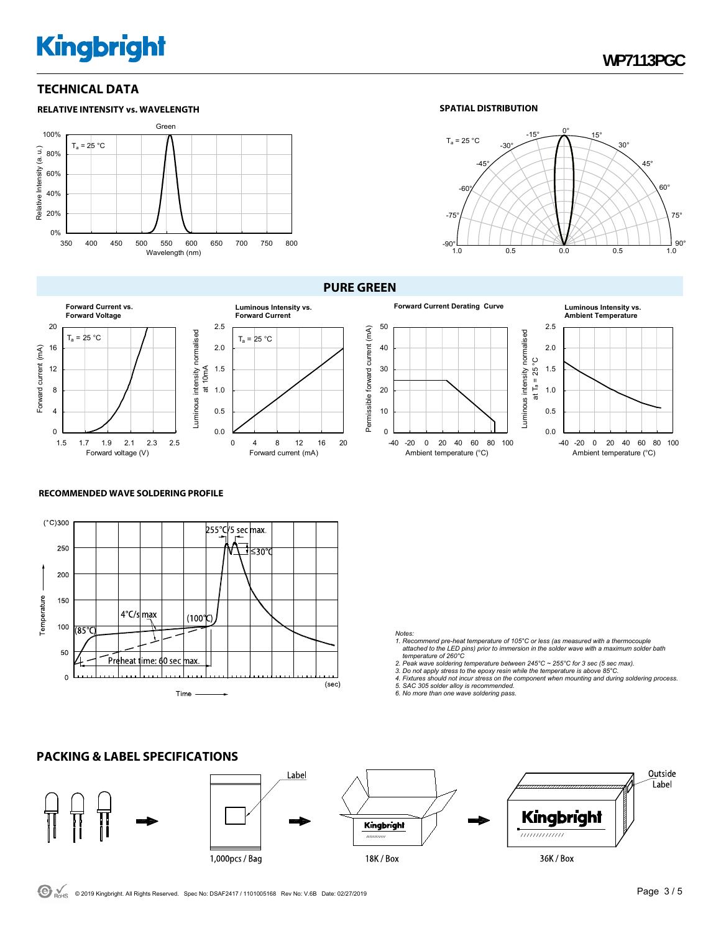#### **TECHNICAL DATA**









 $T_a = 25 °C$ 





#### uminous intensity normalised Luminous intensity normalised ပ္ခ at Ta = 25 °C 1.5 at  $T_a = 25$ 1.0 0.5 0.0 -40 -20 0 20 40 60 80 100 Ambient temperature (°C)

#### **RECOMMENDED WAVE SOLDERING PROFILE**



#### *Notes:*

- *1. Recommend pre-heat temperature of 105°C or less (as measured with a thermocouple attached to the LED pins) prior to immersion in the solder wave with a maximum solder bath temperature of 260°C*
- 
- 2. Peak wave soldering temperature between 245°C ~ 255°C for 3 sec (5 sec max).<br>3. Do not apply stress to the epoxy resin while the temperature is above 85°C.<br>4. Fixtures should not incur stress on the component when mount
- 
- *5. SAC 305 solder alloy is recommended. 6. No more than one wave soldering pass.*

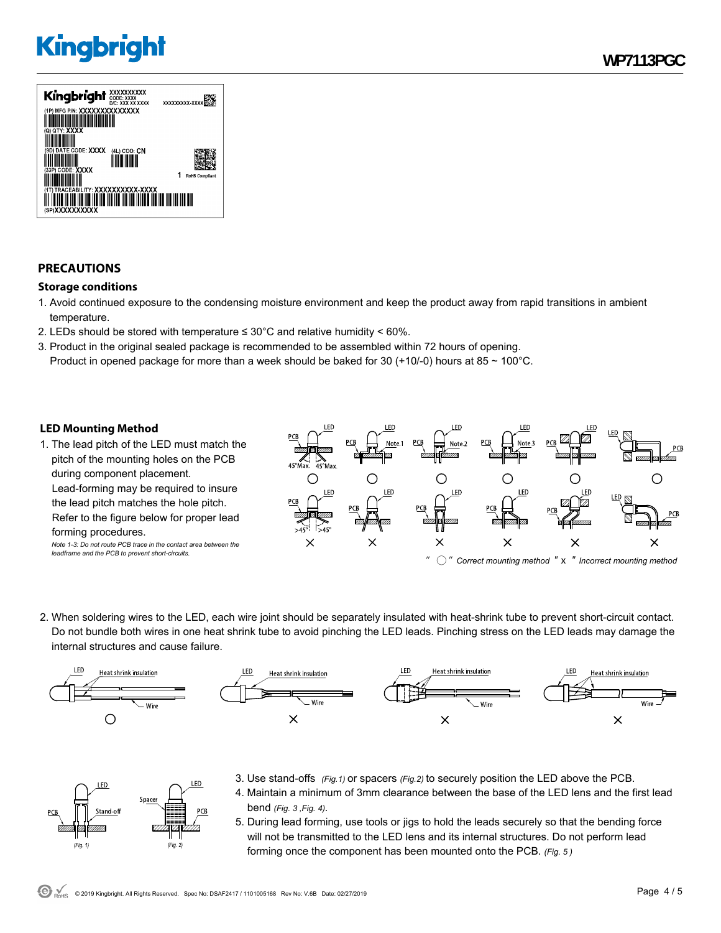

#### **PRECAUTIONS**

#### **Storage conditions**

- 1. Avoid continued exposure to the condensing moisture environment and keep the product away from rapid transitions in ambient temperature.
- 2. LEDs should be stored with temperature  $\leq 30^{\circ}$ C and relative humidity < 60%.
- 3. Product in the original sealed package is recommended to be assembled within 72 hours of opening. Product in opened package for more than a week should be baked for 30 (+10/-0) hours at 85  $\sim$  100°C.

#### **LED Mounting Method**

FD.

 $(Fig. 1)$ 

Space

1. The lead pitch of the LED must match the pitch of the mounting holes on the PCB during component placement. Lead-forming may be required to insure the lead pitch matches the hole pitch. Refer to the figure below for proper lead forming procedures. *Note 1-3: Do not route PCB trace in the contact area between the* 

*leadframe and the PCB to prevent short-circuits.* 



2. When soldering wires to the LED, each wire joint should be separately insulated with heat-shrink tube to prevent short-circuit contact. Do not bundle both wires in one heat shrink tube to avoid pinching the LED leads. Pinching stress on the LED leads may damage the internal structures and cause failure.



- 3. Use stand-offs *(Fig.1)* or spacers *(Fig.2)* to securely position the LED above the PCB.
	- 4. Maintain a minimum of 3mm clearance between the base of the LED lens and the first lead bend *(Fig. 3 ,Fig. 4).*
		- 5. During lead forming, use tools or jigs to hold the leads securely so that the bending force will not be transmitted to the LED lens and its internal structures. Do not perform lead forming once the component has been mounted onto the PCB. *(Fig. 5 )*

.ED

 $(Fig. 2)$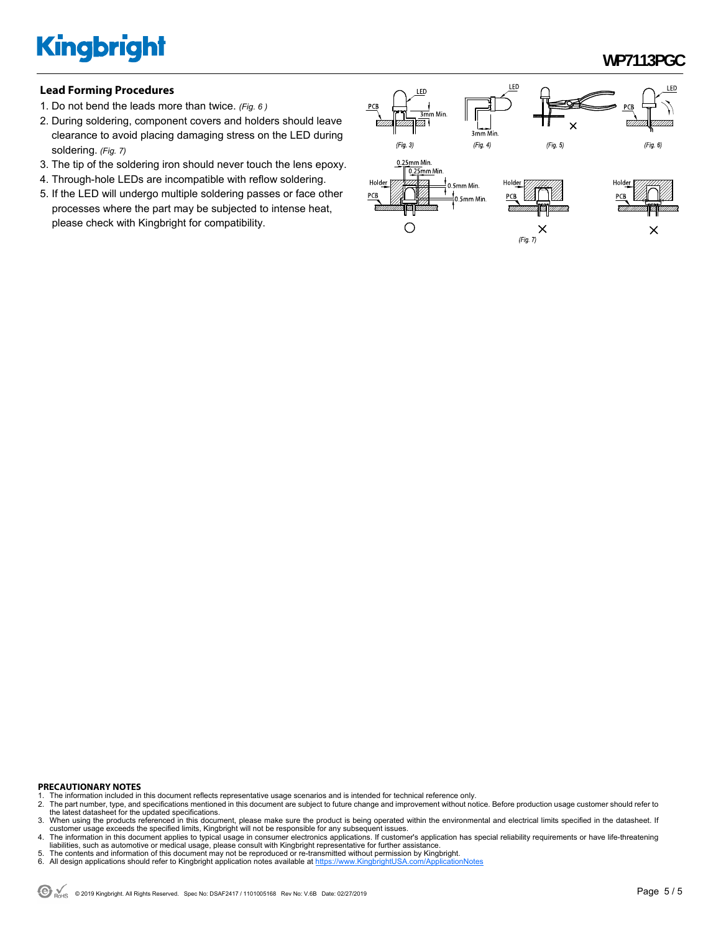### **WP7113PGC**

#### **Lead Forming Procedures**

- 1. Do not bend the leads more than twice. *(Fig. 6 )*
- 2. During soldering, component covers and holders should leave clearance to avoid placing damaging stress on the LED during soldering. *(Fig. 7)*
- 3. The tip of the soldering iron should never touch the lens epoxy.
- 4. Through-hole LEDs are incompatible with reflow soldering.
- 5. If the LED will undergo multiple soldering passes or face other processes where the part may be subjected to intense heat, please check with Kingbright for compatibility.



#### **PRECAUTIONARY NOTES**

- 1. The information included in this document reflects representative usage scenarios and is intended for technical reference only.<br>2. The part number, type, and specifications mentioned in this document are subject to futu
- 2. The part number, type, and specifications mentioned in this document are subject to future change and improvement without notice. Before production usage customer should refer to<br>the latest datasheet for the updated spe
- 3. When using the products referenced in this document, please make sure the product is being operated within the environmental and electrical limits specified in the datasheet. If customer usage exceeds the specified limits, Kingbright will not be responsible for any subsequent issues.<br>4. The information in this document applies to typical usage in consumer electronics applications. If customer's ap
- liabilities, such as automotive or medical usage, please consult with Kingbright representative for further assistance.
- 5. The contents and information of this document may not be reproduced or re-transmitted without permission by Kingbright.<br>6. All design applications should refer to Kingbright application notes available at <u>https://www</u>
-